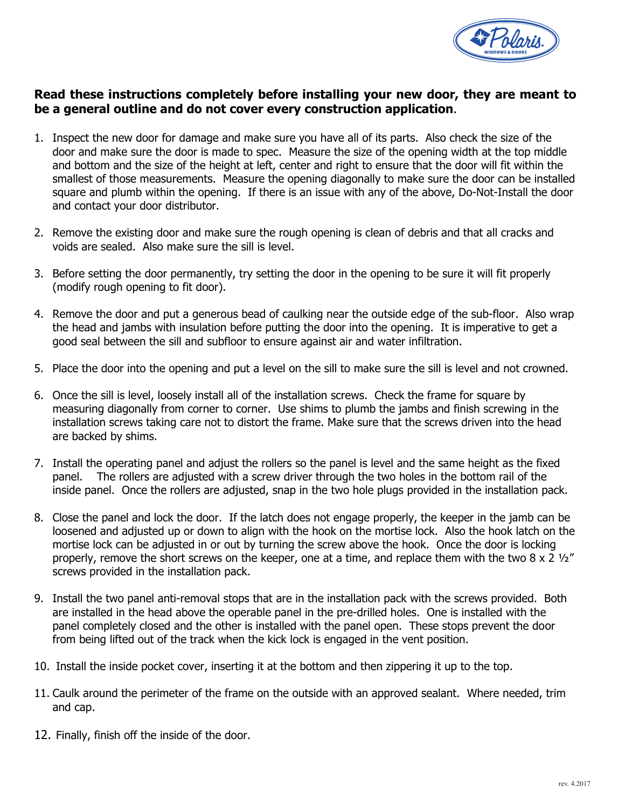

### **Read these instructions completely before installing your new door, they are meant to be a general outline and do not cover every construction application**.

- 1. Inspect the new door for damage and make sure you have all of its parts. Also check the size of the door and make sure the door is made to spec. Measure the size of the opening width at the top middle and bottom and the size of the height at left, center and right to ensure that the door will fit within the smallest of those measurements. Measure the opening diagonally to make sure the door can be installed square and plumb within the opening. If there is an issue with any of the above, Do-Not-Install the door and contact your door distributor.
- 2. Remove the existing door and make sure the rough opening is clean of debris and that all cracks and voids are sealed. Also make sure the sill is level.
- 3. Before setting the door permanently, try setting the door in the opening to be sure it will fit properly (modify rough opening to fit door).
- 4. Remove the door and put a generous bead of caulking near the outside edge of the sub-floor. Also wrap the head and jambs with insulation before putting the door into the opening. It is imperative to get a good seal between the sill and subfloor to ensure against air and water infiltration.
- 5. Place the door into the opening and put a level on the sill to make sure the sill is level and not crowned.
- 6. Once the sill is level, loosely install all of the installation screws. Check the frame for square by measuring diagonally from corner to corner. Use shims to plumb the jambs and finish screwing in the installation screws taking care not to distort the frame. Make sure that the screws driven into the head are backed by shims.
- 7. Install the operating panel and adjust the rollers so the panel is level and the same height as the fixed panel. The rollers are adjusted with a screw driver through the two holes in the bottom rail of the inside panel. Once the rollers are adjusted, snap in the two hole plugs provided in the installation pack.
- 8. Close the panel and lock the door. If the latch does not engage properly, the keeper in the jamb can be loosened and adjusted up or down to align with the hook on the mortise lock. Also the hook latch on the mortise lock can be adjusted in or out by turning the screw above the hook. Once the door is locking properly, remove the short screws on the keeper, one at a time, and replace them with the two 8 x 2  $\frac{1}{2}$ " screws provided in the installation pack.
- 9. Install the two panel anti-removal stops that are in the installation pack with the screws provided. Both are installed in the head above the operable panel in the pre-drilled holes. One is installed with the panel completely closed and the other is installed with the panel open. These stops prevent the door from being lifted out of the track when the kick lock is engaged in the vent position.
- 10. Install the inside pocket cover, inserting it at the bottom and then zippering it up to the top.
- 11. Caulk around the perimeter of the frame on the outside with an approved sealant. Where needed, trim and cap.
- 12. Finally, finish off the inside of the door.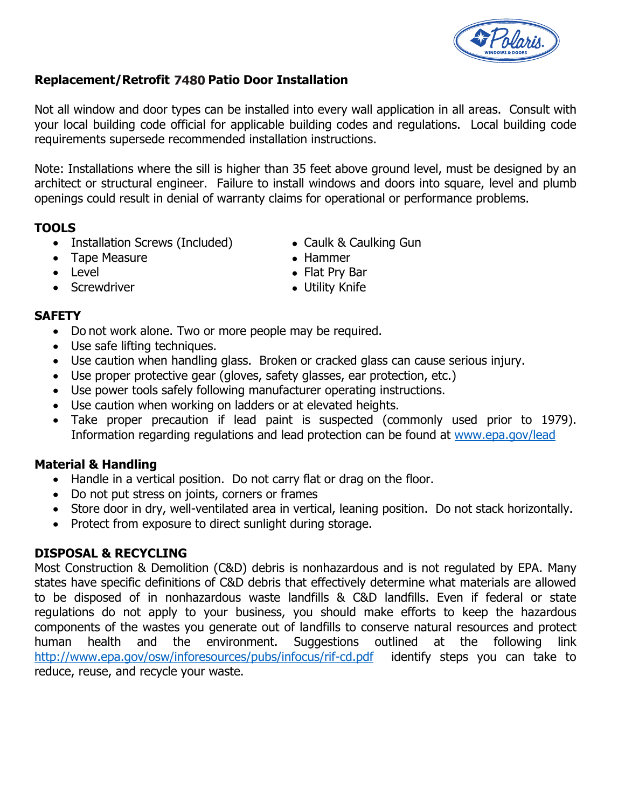

# **Replacement/Retrofit 7180 Patio Door Installation 7480**

Not all window and door types can be installed into every wall application in all areas. Consult with your local building code official for applicable building codes and regulations. Local building code requirements supersede recommended installation instructions.

Note: Installations where the sill is higher than 35 feet above ground level, must be designed by an architect or structural engineer. Failure to install windows and doors into square, level and plumb openings could result in denial of warranty claims for operational or performance problems.

### **TOOLS**

- Installation Screws (Included) Caulk & Caulking Gun
- Tape Measure Nammer
	-
- 
- 
- 
- Level Flat Pry Bar
	- Screwdriver **Access 2018 CONTENT OF SCREW**

### **SAFETY**

- Do not work alone. Two or more people may be required.
- Use safe lifting techniques.
- Use caution when handling glass. Broken or cracked glass can cause serious injury.
- Use proper protective gear (gloves, safety glasses, ear protection, etc.)
- Use power tools safely following manufacturer operating instructions.
- Use caution when working on ladders or at elevated heights.
- Take proper precaution if lead paint is suspected (commonly used prior to 1979). Information regarding regulations and lead protection can be found at www.epa.gov/lead

## **Material & Handling**

- Handle in a vertical position. Do not carry flat or drag on the floor.
- Do not put stress on joints, corners or frames
- Store door in dry, well-ventilated area in vertical, leaning position. Do not stack horizontally.
- Protect from exposure to direct sunlight during storage.

## **DISPOSAL & RECYCLING**

Most Construction & Demolition (C&D) debris is nonhazardous and is not regulated by EPA. Many states have specific definitions of C&D debris that effectively determine what materials are allowed to be disposed of in nonhazardous waste landfills & C&D landfills. Even if federal or state regulations do not apply to your business, you should make efforts to keep the hazardous components of the wastes you generate out of landfills to conserve natural resources and protect human health and the environment. Suggestions outlined at the following link http://www.epa.gov/osw/inforesources/pubs/infocus/rif-cd.pdf identify steps you can take to reduce, reuse, and recycle your waste.